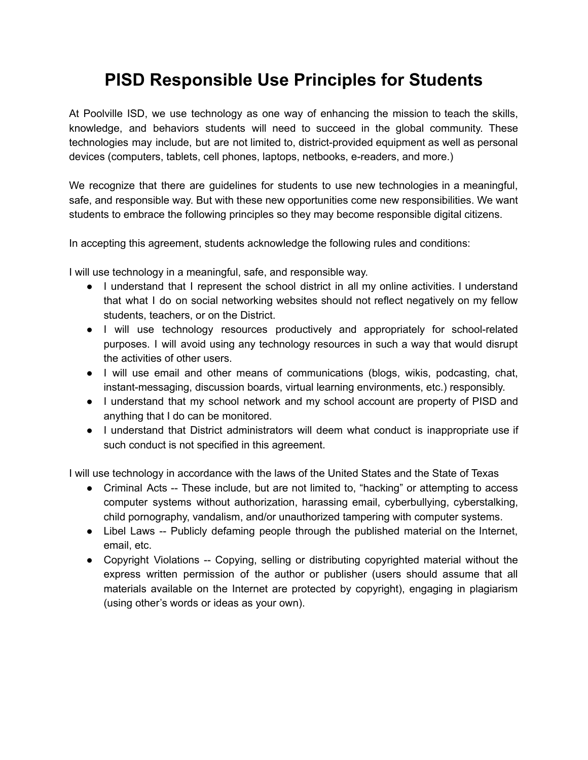## **PISD Responsible Use Principles for Students**

At Poolville ISD, we use technology as one way of enhancing the mission to teach the skills, knowledge, and behaviors students will need to succeed in the global community. These technologies may include, but are not limited to, district-provided equipment as well as personal devices (computers, tablets, cell phones, laptops, netbooks, e-readers, and more.)

We recognize that there are guidelines for students to use new technologies in a meaningful, safe, and responsible way. But with these new opportunities come new responsibilities. We want students to embrace the following principles so they may become responsible digital citizens.

In accepting this agreement, students acknowledge the following rules and conditions:

I will use technology in a meaningful, safe, and responsible way.

- I understand that I represent the school district in all my online activities. I understand that what I do on social networking websites should not reflect negatively on my fellow students, teachers, or on the District.
- I will use technology resources productively and appropriately for school-related purposes. I will avoid using any technology resources in such a way that would disrupt the activities of other users.
- I will use email and other means of communications (blogs, wikis, podcasting, chat, instant-messaging, discussion boards, virtual learning environments, etc.) responsibly.
- I understand that my school network and my school account are property of PISD and anything that I do can be monitored.
- I understand that District administrators will deem what conduct is inappropriate use if such conduct is not specified in this agreement.

I will use technology in accordance with the laws of the United States and the State of Texas

- Criminal Acts -- These include, but are not limited to, "hacking" or attempting to access computer systems without authorization, harassing email, cyberbullying, cyberstalking, child pornography, vandalism, and/or unauthorized tampering with computer systems.
- Libel Laws -- Publicly defaming people through the published material on the Internet, email, etc.
- Copyright Violations -- Copying, selling or distributing copyrighted material without the express written permission of the author or publisher (users should assume that all materials available on the Internet are protected by copyright), engaging in plagiarism (using other's words or ideas as your own).